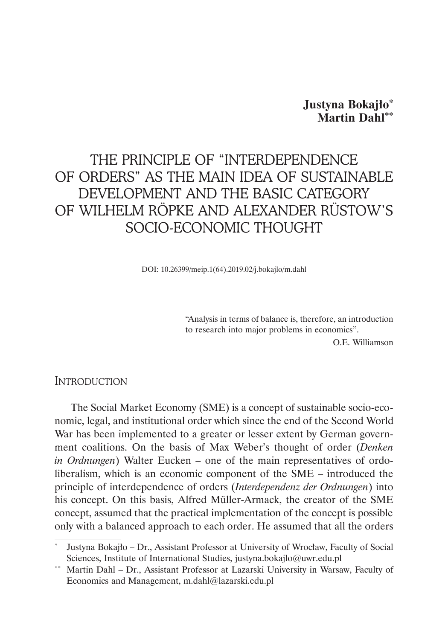## **Justyna Bokajło\* Martin Dahl\*\***

# THE PRINCIPLE OF "INTERDEPENDENCE OF ORDERS" AS THE MAIN IDEA OF SUSTAINABLE DEVELOPMENT AND THE BASIC CATEGORY OF WILHELM RÖPKE AND ALEXANDER RÜSTOW'S SOCIO-ECONOMIC THOUGHT

DOI: 10.26399/meip.1(64).2019.02/j.bokajlo/m.dahl

"Analysis in terms of balance is, therefore, an introduction to research into major problems in economics".

O.E. Williamson

### **INTRODUCTION**

The Social Market Economy (SME) is a concept of sustainable socio-economic, legal, and institutional order which since the end of the Second World War has been implemented to a greater or lesser extent by German government coalitions. On the basis of Max Weber's thought of order (*Denken in Ordnungen*) Walter Eucken – one of the main representatives of ordoliberalism, which is an economic component of the SME – introduced the principle of interdependence of orders (*Interdependenz der Ordnungen*) into his concept. On this basis, Alfred Müller-Armack, the creator of the SME concept, assumed that the practical implementation of the concept is possible only with a balanced approach to each order. He assumed that all the orders

<sup>\*</sup> Justyna Bokajło – Dr., Assistant Professor at University of Wrocław, Faculty of Social Sciences, Institute of International Studies, justyna.bokajlo@uwr.edu.pl

Martin Dahl – Dr., Assistant Professor at Lazarski University in Warsaw, Faculty of Economics and Management, m.dahl@lazarski.edu.pl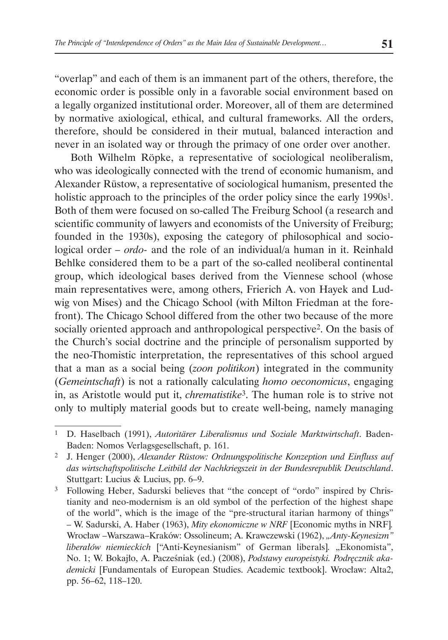"overlap" and each of them is an immanent part of the others, therefore, the economic order is possible only in a favorable social environment based on a legally organized institutional order. Moreover, all of them are determined by normative axiological, ethical, and cultural frameworks. All the orders, therefore, should be considered in their mutual, balanced interaction and never in an isolated way or through the primacy of one order over another.

Both Wilhelm Röpke, a representative of sociological neoliberalism, who was ideologically connected with the trend of economic humanism, and Alexander Rüstow, a representative of sociological humanism, presented the holistic approach to the principles of the order policy since the early 1990s<sup>1</sup>. Both of them were focused on so-called The Freiburg School (a research and scientific community of lawyers and economists of the University of Freiburg; founded in the 1930s), exposing the category of philosophical and sociological order *– ordo-* and the role of an individual/a human in it. Reinhald Behlke considered them to be a part of the so-called neoliberal continental group, which ideological bases derived from the Viennese school (whose main representatives were, among others, Frierich A. von Hayek and Ludwig von Mises) and the Chicago School (with Milton Friedman at the forefront). The Chicago School differed from the other two because of the more socially oriented approach and anthropological perspective2. On the basis of the Church's social doctrine and the principle of personalism supported by the neo-Thomistic interpretation, the representatives of this school argued that a man as a social being (*zoon politikon*) integrated in the community (*Gemeintschaft*) is not a rationally calculating *homo oeconomicus*, engaging in, as Aristotle would put it, *chrematistike*3. The human role is to strive not only to multiply material goods but to create well-being, namely managing

<sup>3</sup> Following Heber, Sadurski believes that "the concept of "ordo" inspired by Christianity and neo-modernism is an old symbol of the perfection of the highest shape of the world", which is the image of the "pre-structural itarian harmony of things" – W. Sadurski, A. Haber (1963), *Mity ekonomiczne w NRF* [Economic myths in NRF]*.*  Wrocław –Warszawa–Kraków: Ossolineum; A. Krawczewski (1962), *"Anty-Keynesizm" liberałów niemieckich* ["Anti-Keynesianism" of German liberals]. "Ekonomista", No. 1; W. Bokajło, A. Pacześniak (ed.) (2008), *Podstawy europeistyki. Podręcznik akademicki* [Fundamentals of European Studies. Academic textbook]. Wrocław: Alta2, pp. 56–62, 118–120.

<sup>1</sup> D. Haselbach (1991), *Autoritärer Liberalismus und Soziale Marktwirtschaft*. Baden-Baden: Nomos Verlagsgesellschaft, p. 161.

<sup>2</sup> J. Henger (2000), *Alexander Rüstow: Ordnungspolitische Konzeption und Einfluss auf das wirtschaftspolitische Leitbild der Nachkriegszeit in der Bundesrepublik Deutschland*. Stuttgart: Lucius & Lucius, pp. 6–9.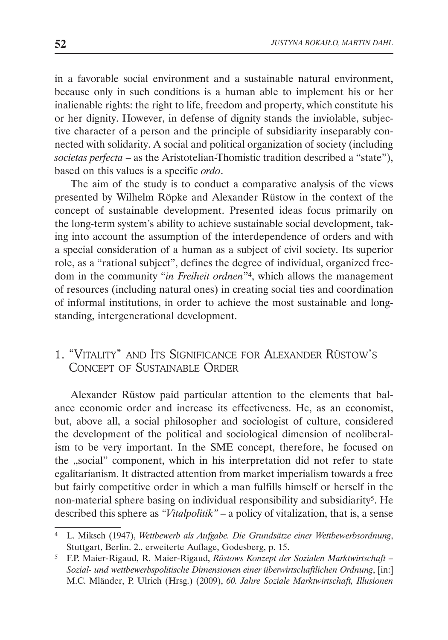in a favorable social environment and a sustainable natural environment, because only in such conditions is a human able to implement his or her inalienable rights: the right to life, freedom and property, which constitute his or her dignity. However, in defense of dignity stands the inviolable, subjective character of a person and the principle of subsidiarity inseparably connected with solidarity. A social and political organization of society (including *societas perfecta* – as the Aristotelian-Thomistic tradition described a "state"), based on this values is a specific *ordo*.

The aim of the study is to conduct a comparative analysis of the views presented by Wilhelm Röpke and Alexander Rüstow in the context of the concept of sustainable development. Presented ideas focus primarily on the long-term system's ability to achieve sustainable social development, taking into account the assumption of the interdependence of orders and with a special consideration of a human as a subject of civil society. Its superior role, as a "rational subject", defines the degree of individual, organized freedom in the community "*in Freiheit ordnen*"4, which allows the management of resources (including natural ones) in creating social ties and coordination of informal institutions, in order to achieve the most sustainable and longstanding, intergenerational development.

## 1. "Vitality" and Its Significance for Alexander Rüstow's Concept of Sustainable Order

Alexander Rüstow paid particular attention to the elements that balance economic order and increase its effectiveness. He, as an economist, but, above all, a social philosopher and sociologist of culture, considered the development of the political and sociological dimension of neoliberalism to be very important. In the SME concept, therefore, he focused on the "social" component, which in his interpretation did not refer to state egalitarianism. It distracted attention from market imperialism towards a free but fairly competitive order in which a man fulfills himself or herself in the non-material sphere basing on individual responsibility and subsidiarity<sup>5</sup>. He described this sphere as *"Vitalpolitik"* – a policy of vitalization, that is, a sense

<sup>4</sup> L. Miksch (1947), *Wettbewerb als Aufgabe. Die Grundsätze einer Wettbewerbsordnung*, Stuttgart, Berlin. 2., erweiterte Auflage, Godesberg, p. 15.

<sup>5</sup> F.P. Maier-Rigaud, R. Maier-Rigaud, *Rüstows Konzept der Sozialen Marktwirtschaft – Sozial- und wettbewerbspolitische Dimensionen einer überwirtschaftlichen Ordnung*, [in:] M.C. Mländer, P. Ulrich (Hrsg.) (2009), *60. Jahre Soziale Marktwirtschaft, Illusionen*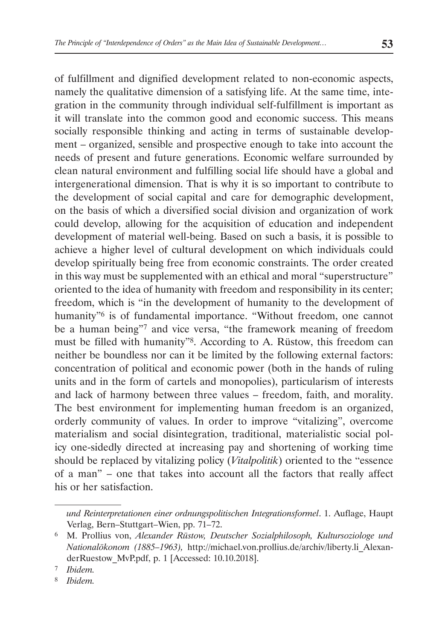of fulfillment and dignified development related to non-economic aspects, namely the qualitative dimension of a satisfying life. At the same time, integration in the community through individual self-fulfillment is important as it will translate into the common good and economic success. This means socially responsible thinking and acting in terms of sustainable development – organized, sensible and prospective enough to take into account the needs of present and future generations. Economic welfare surrounded by clean natural environment and fulfilling social life should have a global and intergenerational dimension. That is why it is so important to contribute to the development of social capital and care for demographic development, on the basis of which a diversified social division and organization of work could develop, allowing for the acquisition of education and independent development of material well-being. Based on such a basis, it is possible to achieve a higher level of cultural development on which individuals could develop spiritually being free from economic constraints. The order created in this way must be supplemented with an ethical and moral "superstructure" oriented to the idea of humanity with freedom and responsibility in its center; freedom, which is "in the development of humanity to the development of humanity"6 is of fundamental importance. "Without freedom, one cannot be a human being"7 and vice versa, "the framework meaning of freedom must be filled with humanity"8. According to A. Rüstow, this freedom can neither be boundless nor can it be limited by the following external factors: concentration of political and economic power (both in the hands of ruling units and in the form of cartels and monopolies), particularism of interests and lack of harmony between three values – freedom, faith, and morality. The best environment for implementing human freedom is an organized, orderly community of values. In order to improve "vitalizing", overcome materialism and social disintegration, traditional, materialistic social policy one-sidedly directed at increasing pay and shortening of working time should be replaced by vitalizing policy (*Vitalpolitik*) oriented to the "essence of a man" – one that takes into account all the factors that really affect his or her satisfaction.

*und Reinterpretationen einer ordnungspolitischen Integrationsformel*. 1. Auflage, Haupt Verlag, Bern–Stuttgart–Wien, pp. 71–72.

<sup>6</sup> M. Prollius von, *Alexander Rüstow, Deutscher Sozialphilosoph, Kultursoziologe und Nationalökonom (1885–1963),* http://michael.von.prollius.de/archiv/liberty.li\_AlexanderRuestow\_MvP.pdf, p. 1 [Accessed: 10.10.2018].

<sup>7</sup> *Ibidem.*

<sup>8</sup> *Ibidem.*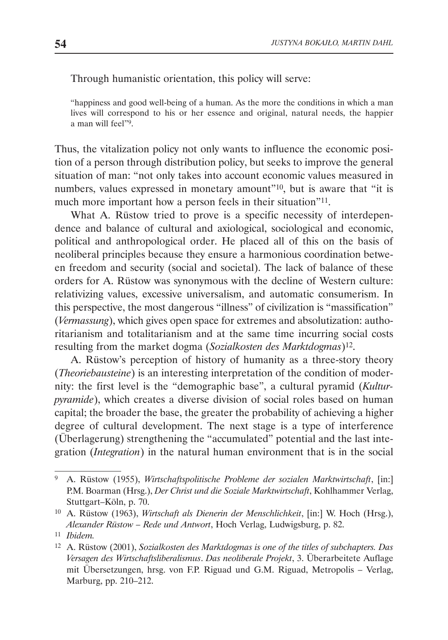Through humanistic orientation, this policy will serve:

"happiness and good well-being of a human. As the more the conditions in which a man lives will correspond to his or her essence and original, natural needs, the happier a man will feel"9.

Thus, the vitalization policy not only wants to influence the economic position of a person through distribution policy, but seeks to improve the general situation of man: "not only takes into account economic values measured in numbers, values expressed in monetary amount"<sup>10</sup>, but is aware that "it is much more important how a person feels in their situation"11.

What A. Rüstow tried to prove is a specific necessity of interdependence and balance of cultural and axiological, sociological and economic, political and anthropological order. He placed all of this on the basis of neoliberal principles because they ensure a harmonious coordination between freedom and security (social and societal). The lack of balance of these orders for A. Rüstow was synonymous with the decline of Western culture: relativizing values, excessive universalism, and automatic consumerism. In this perspective, the most dangerous "illness" of civilization is "massification" (*Vermassung*), which gives open space for extremes and absolutization: authoritarianism and totalitarianism and at the same time incurring social costs resulting from the market dogma (*Sozialkosten des Marktdogmas*)12.

A. Rüstow's perception of history of humanity as a three-story theory (*Theoriebausteine*) is an interesting interpretation of the condition of modernity: the first level is the "demographic base", a cultural pyramid (*Kulturpyramide*), which creates a diverse division of social roles based on human capital; the broader the base, the greater the probability of achieving a higher degree of cultural development. The next stage is a type of interference (Überlagerung) strengthening the "accumulated" potential and the last integration (*Integration*) in the natural human environment that is in the social

<sup>9</sup> A. Rüstow (1955), *Wirtschaftspolitische Probleme der sozialen Marktwirtschaft*, [in:] P.M. Boarman (Hrsg.), *Der Christ und die Soziale Marktwirtschaft*, Kohlhammer Verlag, Stuttgart–Köln, p. 70.

<sup>10</sup> A. Rüstow (1963), *Wirtschaft als Dienerin der Menschlichkeit*, [in:] W. Hoch (Hrsg.), *Alexander Rüstow – Rede und Antwort*, Hoch Verlag, Ludwigsburg, p. 82.

<sup>11</sup> *Ibidem.*

<sup>12</sup> A. Rüstow (2001), *Sozialkosten des Marktdogmas is one of the titles of subchapters. Das Versagen des Wirtschaftsliberalismus*. *Das neoliberale Projekt*, 3. Überarbeitete Auflage mit Übersetzungen, hrsg. von F.P. Riguad und G.M. Riguad, Metropolis – Verlag, Marburg, pp. 210–212.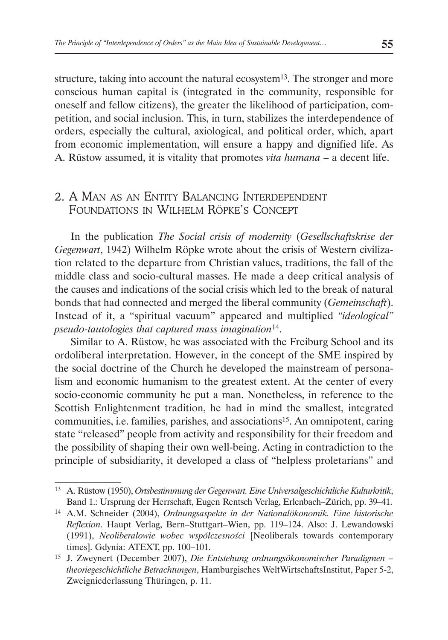structure, taking into account the natural ecosystem<sup>13</sup>. The stronger and more conscious human capital is (integrated in the community, responsible for oneself and fellow citizens), the greater the likelihood of participation, competition, and social inclusion. This, in turn, stabilizes the interdependence of orders, especially the cultural, axiological, and political order, which, apart from economic implementation, will ensure a happy and dignified life. As A. Rüstow assumed, it is vitality that promotes *vita humana* – a decent life.

### 2. A Man as an Entity Balancing Interdependent Foundations in Wilhelm Röpke's Concept

In the publication *The Social crisis of modernity* (*Gesellschaftskrise der Gegenwart*, 1942) Wilhelm Röpke wrote about the crisis of Western civilization related to the departure from Christian values, traditions, the fall of the middle class and socio-cultural masses. He made a deep critical analysis of the causes and indications of the social crisis which led to the break of natural bonds that had connected and merged the liberal community (*Gemeinschaft*). Instead of it, a "spiritual vacuum" appeared and multiplied *"ideological" pseudo-tautologies that captured mass imagination*14.

Similar to A. Rüstow, he was associated with the Freiburg School and its ordoliberal interpretation. However, in the concept of the SME inspired by the social doctrine of the Church he developed the mainstream of personalism and economic humanism to the greatest extent. At the center of every socio-economic community he put a man. Nonetheless, in reference to the Scottish Enlightenment tradition, he had in mind the smallest, integrated communities, i.e. families, parishes, and associations15. An omnipotent, caring state "released" people from activity and responsibility for their freedom and the possibility of shaping their own well-being. Acting in contradiction to the principle of subsidiarity, it developed a class of "helpless proletarians" and

<sup>13</sup> A. Rüstow (1950), *Ortsbestimmung der Gegenwart. Eine Universalgeschichtliche Kulturkritik*, Band 1.: Ursprung der Herrschaft, Eugen Rentsch Verlag, Erlenbach–Zürich, pp. 39–41.

<sup>14</sup> A.M. Schneider (2004), *Ordnungsaspekte in der Nationalökonomik. Eine historische Reflexion*. Haupt Verlag, Bern–Stuttgart–Wien, pp. 119–124. Also: J. Lewandowski (1991), *Neoliberałowie wobec współczesności* [Neoliberals towards contemporary times]. Gdynia: ATEXT, pp. 100–101.

<sup>15</sup> J. Zweynert (December 2007), *Die Entstehung ordnungsökonomischer Paradigmen – theoriegeschichtliche Betrachtungen*, Hamburgisches WeltWirtschaftsInstitut, Paper 5-2, Zweigniederlassung Thüringen, p. 11.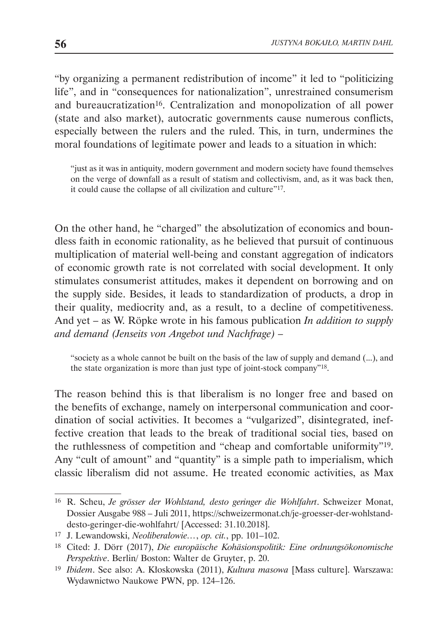"by organizing a permanent redistribution of income" it led to "politicizing life", and in "consequences for nationalization", unrestrained consumerism and bureaucratization<sup>16</sup>. Centralization and monopolization of all power (state and also market), autocratic governments cause numerous conflicts, especially between the rulers and the ruled. This, in turn, undermines the moral foundations of legitimate power and leads to a situation in which:

"just as it was in antiquity, modern government and modern society have found themselves on the verge of downfall as a result of statism and collectivism, and, as it was back then, it could cause the collapse of all civilization and culture"17.

On the other hand, he "charged" the absolutization of economics and boundless faith in economic rationality, as he believed that pursuit of continuous multiplication of material well-being and constant aggregation of indicators of economic growth rate is not correlated with social development. It only stimulates consumerist attitudes, makes it dependent on borrowing and on the supply side. Besides, it leads to standardization of products, a drop in their quality, mediocrity and, as a result, to a decline of competitiveness. And yet – as W. Röpke wrote in his famous publication *In addition to supply and demand (Jenseits von Angebot und Nachfrage) –* 

"society as a whole cannot be built on the basis of the law of supply and demand (...), and the state organization is more than just type of joint-stock company"18.

The reason behind this is that liberalism is no longer free and based on the benefits of exchange, namely on interpersonal communication and coordination of social activities. It becomes a "vulgarized", disintegrated, ineffective creation that leads to the break of traditional social ties, based on the ruthlessness of competition and "cheap and comfortable uniformity"19. Any "cult of amount" and "quantity" is a simple path to imperialism, which classic liberalism did not assume. He treated economic activities, as Max

<sup>16</sup> R. Scheu, *Je grösser der Wohlstand, desto geringer die Wohlfahrt*. Schweizer Monat, Dossier Ausgabe 988 – Juli 2011, https://schweizermonat.ch/je-groesser-der-wohlstanddesto-geringer-die-wohlfahrt/ [Accessed: 31.10.2018].

<sup>17</sup> J. Lewandowski, *Neoliberałowie…*, *op. cit.*, pp. 101–102.

<sup>18</sup> Cited: J. Dörr (2017), *Die europäische Kohäsionspolitik: Eine ordnungsökonomische Perspektive*. Berlin/ Boston: Walter de Gruyter, p. 20.

<sup>19</sup> *Ibidem*. See also: A. Kłoskowska (2011), *Kultura masowa* [Mass culture]. Warszawa: Wydawnictwo Naukowe PWN, pp. 124–126.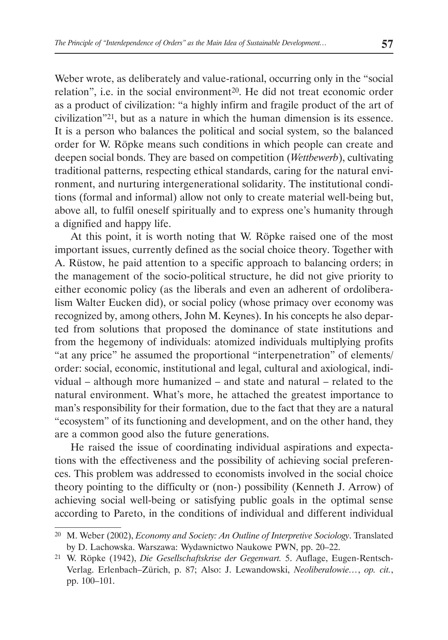Weber wrote, as deliberately and value-rational, occurring only in the "social relation", i.e. in the social environment<sup>20</sup>. He did not treat economic order as a product of civilization: "a highly infirm and fragile product of the art of civilization"21, but as a nature in which the human dimension is its essence. It is a person who balances the political and social system, so the balanced order for W. Röpke means such conditions in which people can create and deepen social bonds. They are based on competition (*Wettbewerb*), cultivating traditional patterns, respecting ethical standards, caring for the natural environment, and nurturing intergenerational solidarity. The institutional conditions (formal and informal) allow not only to create material well-being but, above all, to fulfil oneself spiritually and to express one's humanity through a dignified and happy life.

At this point, it is worth noting that W. Röpke raised one of the most important issues, currently defined as the social choice theory. Together with A. Rüstow, he paid attention to a specific approach to balancing orders; in the management of the socio-political structure, he did not give priority to either economic policy (as the liberals and even an adherent of ordoliberalism Walter Eucken did), or social policy (whose primacy over economy was recognized by, among others, John M. Keynes). In his concepts he also departed from solutions that proposed the dominance of state institutions and from the hegemony of individuals: atomized individuals multiplying profits "at any price" he assumed the proportional "interpenetration" of elements/ order: social, economic, institutional and legal, cultural and axiological, individual – although more humanized – and state and natural – related to the natural environment. What's more, he attached the greatest importance to man's responsibility for their formation, due to the fact that they are a natural "ecosystem" of its functioning and development, and on the other hand, they are a common good also the future generations.

He raised the issue of coordinating individual aspirations and expectations with the effectiveness and the possibility of achieving social preferences. This problem was addressed to economists involved in the social choice theory pointing to the difficulty or (non-) possibility (Kenneth J. Arrow) of achieving social well-being or satisfying public goals in the optimal sense according to Pareto, in the conditions of individual and different individual

<sup>20</sup> M. Weber (2002), *Economy and Society: An Outline of Interpretive Sociology*. Translated by D. Lachowska. Warszawa: Wydawnictwo Naukowe PWN, pp. 20–22.

<sup>21</sup> W. Röpke (1942), *Die Gesellschaftskrise der Gegenwart.* 5. Auflage, Eugen-Rentsch-Verlag. Erlenbach–Zürich, p. 87; Also: J. Lewandowski, *Neoliberałowie…*, *op. cit.*, pp. 100–101.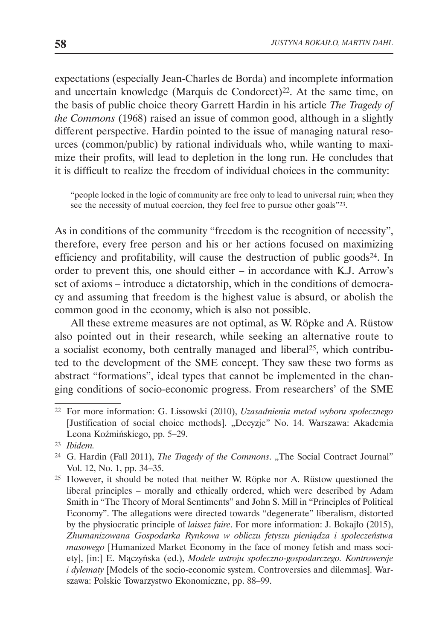expectations (especially Jean-Charles de Borda) and incomplete information and uncertain knowledge (Marquis de Condorcet)22. At the same time, on the basis of public choice theory Garrett Hardin in his article *The Tragedy of the Commons* (1968) raised an issue of common good, although in a slightly different perspective. Hardin pointed to the issue of managing natural resources (common/public) by rational individuals who, while wanting to maximize their profits, will lead to depletion in the long run. He concludes that it is difficult to realize the freedom of individual choices in the community:

"people locked in the logic of community are free only to lead to universal ruin; when they see the necessity of mutual coercion, they feel free to pursue other goals"<sup>23</sup>.

As in conditions of the community "freedom is the recognition of necessity", therefore, every free person and his or her actions focused on maximizing efficiency and profitability, will cause the destruction of public goods<sup>24</sup>. In order to prevent this, one should either – in accordance with K.J. Arrow's set of axioms – introduce a dictatorship, which in the conditions of democracy and assuming that freedom is the highest value is absurd, or abolish the common good in the economy, which is also not possible.

All these extreme measures are not optimal, as W. Röpke and A. Rüstow also pointed out in their research, while seeking an alternative route to a socialist economy, both centrally managed and liberal25, which contributed to the development of the SME concept. They saw these two forms as abstract "formations", ideal types that cannot be implemented in the changing conditions of socio-economic progress. From researchers' of the SME

<sup>22</sup> For more information: G. Lissowski (2010), *Uzasadnienia metod wyboru społecznego*  [Justification of social choice methods]. "Decyzje" No. 14. Warszawa: Akademia Leona Koźmińskiego, pp. 5–29.

<sup>23</sup> *Ibidem.*

<sup>&</sup>lt;sup>24</sup> G. Hardin (Fall 2011), *The Tragedy of the Commons*. "The Social Contract Journal" Vol. 12, No. 1, pp. 34–35.

<sup>25</sup> However, it should be noted that neither W. Röpke nor A. Rüstow questioned the liberal principles – morally and ethically ordered, which were described by Adam Smith in "The Theory of Moral Sentiments" and John S. Mill in "Principles of Political Economy". The allegations were directed towards "degenerate" liberalism, distorted by the physiocratic principle of *laissez faire*. For more information: J. Bokajło (2015), *Zhumanizowana Gospodarka Rynkowa w obliczu fetyszu pieniądza i społeczeństwa masowego* [Humanized Market Economy in the face of money fetish and mass society], [in:] E. Mączyńska (ed.), *Modele ustroju społeczno-gospodarczego. Kontrowersje i dylematy* [Models of the socio-economic system. Controversies and dilemmas]. Warszawa: Polskie Towarzystwo Ekonomiczne, pp. 88–99.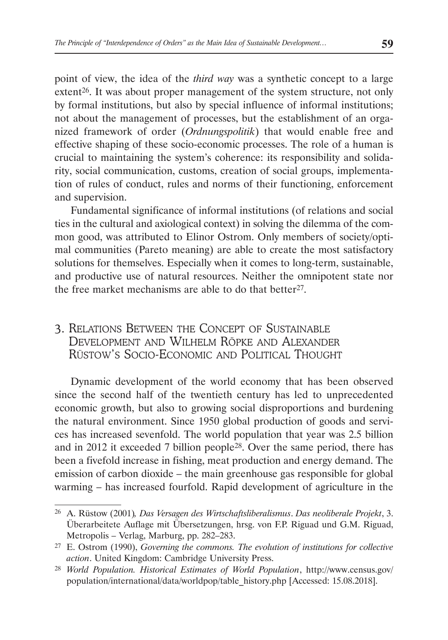point of view, the idea of the *third way* was a synthetic concept to a large extent<sup>26</sup>. It was about proper management of the system structure, not only by formal institutions, but also by special influence of informal institutions; not about the management of processes, but the establishment of an organized framework of order (*Ordnungspolitik*) that would enable free and effective shaping of these socio-economic processes. The role of a human is crucial to maintaining the system's coherence: its responsibility and solidarity, social communication, customs, creation of social groups, implementation of rules of conduct, rules and norms of their functioning, enforcement and supervision.

Fundamental significance of informal institutions (of relations and social ties in the cultural and axiological context) in solving the dilemma of the common good, was attributed to Elinor Ostrom. Only members of society/optimal communities (Pareto meaning) are able to create the most satisfactory solutions for themselves. Especially when it comes to long-term, sustainable, and productive use of natural resources. Neither the omnipotent state nor the free market mechanisms are able to do that better<sup>27</sup>.

## 3. Relations Between the Concept of Sustainable Development and Wilhelm Röpke and Alexander Rüstow's Socio-Economic and Political Thought

Dynamic development of the world economy that has been observed since the second half of the twentieth century has led to unprecedented economic growth, but also to growing social disproportions and burdening the natural environment. Since 1950 global production of goods and services has increased sevenfold. The world population that year was 2.5 billion and in 2012 it exceeded 7 billion people<sup>28</sup>. Over the same period, there has been a fivefold increase in fishing, meat production and energy demand. The emission of carbon dioxide – the main greenhouse gas responsible for global warming – has increased fourfold. Rapid development of agriculture in the

<sup>26</sup> A. Rüstow (2001)*, Das Versagen des Wirtschaftsliberalismus*. *Das neoliberale Projekt*, 3. Überarbeitete Auflage mit Übersetzungen, hrsg. von F.P. Riguad und G.M. Riguad, Metropolis – Verlag, Marburg, pp. 282–283.

<sup>27</sup> E. Ostrom (1990), *Governing the commons. The evolution of institutions for collective action*. United Kingdom: Cambridge University Press.

<sup>28</sup> *World Population. Historical Estimates of World Population*, http://www.census.gov/ population/international/data/worldpop/table\_history.php [Accessed: 15.08.2018].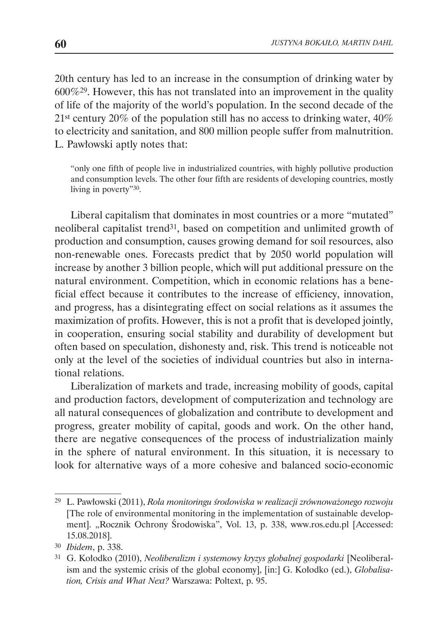20th century has led to an increase in the consumption of drinking water by 600%29. However, this has not translated into an improvement in the quality of life of the majority of the world's population. In the second decade of the 21st century 20% of the population still has no access to drinking water, 40% to electricity and sanitation, and 800 million people suffer from malnutrition. L. Pawłowski aptly notes that:

"only one fifth of people live in industrialized countries, with highly pollutive production and consumption levels. The other four fifth are residents of developing countries, mostly living in poverty"30.

Liberal capitalism that dominates in most countries or a more "mutated" neoliberal capitalist trend31, based on competition and unlimited growth of production and consumption, causes growing demand for soil resources, also non-renewable ones. Forecasts predict that by 2050 world population will increase by another 3 billion people, which will put additional pressure on the natural environment. Competition, which in economic relations has a beneficial effect because it contributes to the increase of efficiency, innovation, and progress, has a disintegrating effect on social relations as it assumes the maximization of profits. However, this is not a profit that is developed jointly, in cooperation, ensuring social stability and durability of development but often based on speculation, dishonesty and, risk. This trend is noticeable not only at the level of the societies of individual countries but also in international relations.

Liberalization of markets and trade, increasing mobility of goods, capital and production factors, development of computerization and technology are all natural consequences of globalization and contribute to development and progress, greater mobility of capital, goods and work. On the other hand, there are negative consequences of the process of industrialization mainly in the sphere of natural environment. In this situation, it is necessary to look for alternative ways of a more cohesive and balanced socio-economic

<sup>29</sup> L. Pawłowski (2011), *Rola monitoringu środowiska w realizacji zrównoważonego rozwoju*  [The role of environmental monitoring in the implementation of sustainable development]. "Rocznik Ochrony Środowiska", Vol. 13, p. 338, www.ros.edu.pl [Accessed: 15.08.2018].

<sup>30</sup> *Ibidem*, p. 338.

<sup>31</sup> G. Kołodko (2010), *Neoliberalizm i systemowy kryzys globalnej gospodarki* [Neoliberalism and the systemic crisis of the global economy], [in:] G. Kołodko (ed.), *Globalisation, Crisis and What Next?* Warszawa: Poltext, p. 95.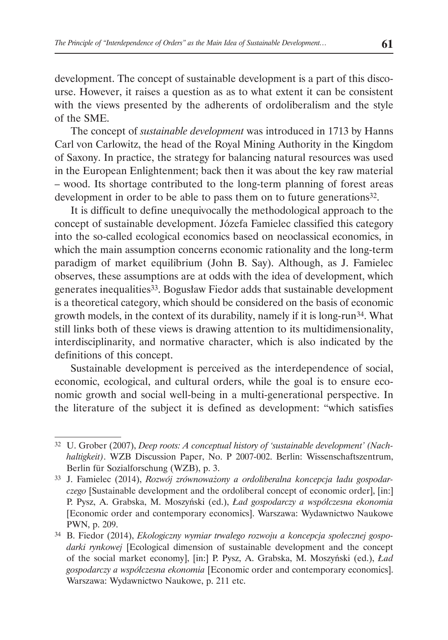development. The concept of sustainable development is a part of this discourse. However, it raises a question as as to what extent it can be consistent with the views presented by the adherents of ordoliberalism and the style of the SME.

The concept of *sustainable development* was introduced in 1713 by Hanns Carl von Carlowitz, the head of the Royal Mining Authority in the Kingdom of Saxony. In practice, the strategy for balancing natural resources was used in the European Enlightenment; back then it was about the key raw material – wood. Its shortage contributed to the long-term planning of forest areas development in order to be able to pass them on to future generations<sup>32</sup>.

It is difficult to define unequivocally the methodological approach to the concept of sustainable development. Józefa Famielec classified this category into the so-called ecological economics based on neoclassical economics, in which the main assumption concerns economic rationality and the long-term paradigm of market equilibrium (John B. Say). Although, as J. Famielec observes, these assumptions are at odds with the idea of development, which generates inequalities33. Bogusław Fiedor adds that sustainable development is a theoretical category, which should be considered on the basis of economic growth models, in the context of its durability, namely if it is long-run34. What still links both of these views is drawing attention to its multidimensionality, interdisciplinarity, and normative character, which is also indicated by the definitions of this concept.

Sustainable development is perceived as the interdependence of social, economic, ecological, and cultural orders, while the goal is to ensure economic growth and social well-being in a multi-generational perspective. In the literature of the subject it is defined as development: "which satisfies

<sup>32</sup> U. Grober (2007), *Deep roots: A conceptual history of 'sustainable development' (Nachhaltigkeit)*. WZB Discussion Paper, No. P 2007-002. Berlin: Wissenschaftszentrum, Berlin für Sozialforschung (WZB), p. 3.

<sup>33</sup> J. Famielec (2014), *Rozwój zrównoważony a ordoliberalna koncepcja ładu gospodarczego* [Sustainable development and the ordoliberal concept of economic order], [in:] P. Pysz, A. Grabska, M. Moszyński (ed.), *Ład gospodarczy a współczesna ekonomia* [Economic order and contemporary economics]. Warszawa: Wydawnictwo Naukowe PWN, p. 209.

<sup>34</sup> B. Fiedor (2014), *Ekologiczny wymiar trwałego rozwoju a koncepcja społecznej gospodarki rynkowej* [Ecological dimension of sustainable development and the concept of the social market economy], [in:] P. Pysz, A. Grabska, M. Moszyński (ed.), *Ład gospodarczy a współczesna ekonomia* [Economic order and contemporary economics]. Warszawa: Wydawnictwo Naukowe, p. 211 etc.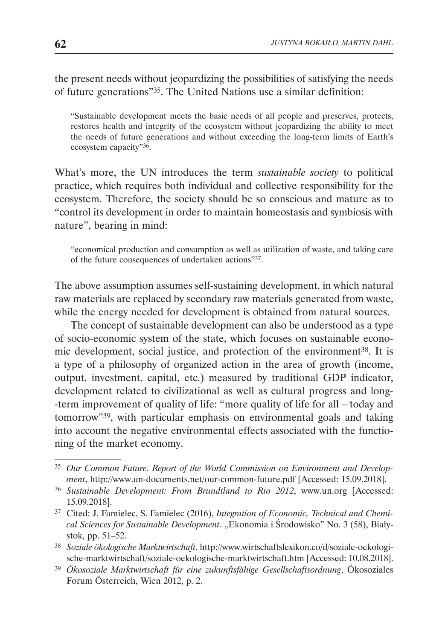the present needs without jeopardizing the possibilities of satisfying the needs of future generations"35. The United Nations use a similar definition:

"Sustainable development meets the basic needs of all people and preserves, protects, restores health and integrity of the ecosystem without jeopardizing the ability to meet the needs of future generations and without exceeding the long-term limits of Earth's ecosystem capacity"36.

What's more, the UN introduces the term *sustainable society* to political practice, which requires both individual and collective responsibility for the ecosystem. Therefore, the society should be so conscious and mature as to "control its development in order to maintain homeostasis and symbiosis with nature", bearing in mind:

"economical production and consumption as well as utilization of waste, and taking care of the future consequences of undertaken actions"37.

The above assumption assumes self-sustaining development, in which natural raw materials are replaced by secondary raw materials generated from waste, while the energy needed for development is obtained from natural sources.

The concept of sustainable development can also be understood as a type of socio-economic system of the state, which focuses on sustainable economic development, social justice, and protection of the environment38. It is a type of a philosophy of organized action in the area of growth (income, output, investment, capital, etc.) measured by traditional GDP indicator, development related to civilizational as well as cultural progress and long- -term improvement of quality of life: "more quality of life for all – today and tomorrow"<sup>39</sup>, with particular emphasis on environmental goals and taking into account the negative environmental effects associated with the functioning of the market economy.

<sup>35</sup> *Our Common Future. Report of the World Commission on Environment and Development*, http://www.un-documents.net/our-common-future.pdf [Accessed: 15.09.2018].

<sup>36</sup> *Sustainable Development: From Brundtland to Rio 2012*, www.un.org [Accessed: 15.09.2018].

<sup>37</sup> Cited: J. Famielec, S. Famielec (2016), *Integration of Economic, Technical and Chemical Sciences for Sustainable Development*. "Ekonomia i Środowisko" No. 3 (58), Białystok, pp. 51–52.

<sup>38</sup> *Soziale ökologische Marktwirtschaft*, http://www.wirtschaftslexikon.co/d/soziale-oekologische-marktwirtschaft/soziale-oekologische-marktwirtschaft.htm [Accessed: 10.08.2018].

<sup>39</sup> *Ökosoziale Marktwirtschaft für eine zukunftsfähige Gesellschaftsordnung*, Ökosoziales Forum Österreich, Wien 2012, p. 2.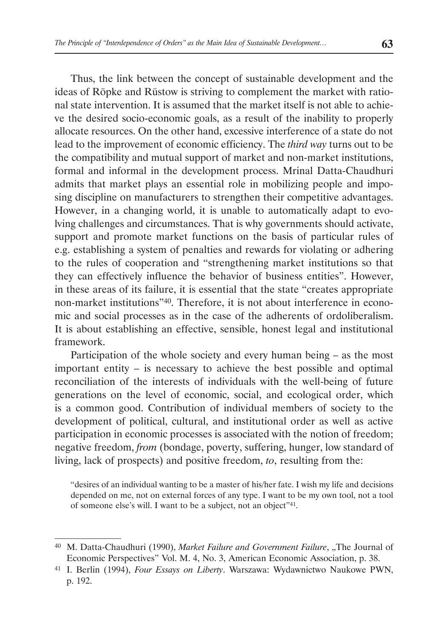Thus, the link between the concept of sustainable development and the ideas of Röpke and Rüstow is striving to complement the market with rational state intervention. It is assumed that the market itself is not able to achieve the desired socio-economic goals, as a result of the inability to properly allocate resources. On the other hand, excessive interference of a state do not lead to the improvement of economic efficiency. The *third way* turns out to be the compatibility and mutual support of market and non-market institutions, formal and informal in the development process. Mrinal Datta-Chaudhuri admits that market plays an essential role in mobilizing people and imposing discipline on manufacturers to strengthen their competitive advantages. However, in a changing world, it is unable to automatically adapt to evolving challenges and circumstances. That is why governments should activate, support and promote market functions on the basis of particular rules of e.g. establishing a system of penalties and rewards for violating or adhering to the rules of cooperation and "strengthening market institutions so that they can effectively influence the behavior of business entities". However, in these areas of its failure, it is essential that the state "creates appropriate non-market institutions"40. Therefore, it is not about interference in economic and social processes as in the case of the adherents of ordoliberalism. It is about establishing an effective, sensible, honest legal and institutional framework.

Participation of the whole society and every human being – as the most important entity – is necessary to achieve the best possible and optimal reconciliation of the interests of individuals with the well-being of future generations on the level of economic, social, and ecological order, which is a common good. Contribution of individual members of society to the development of political, cultural, and institutional order as well as active participation in economic processes is associated with the notion of freedom; negative freedom, *from* (bondage, poverty, suffering, hunger, low standard of living, lack of prospects) and positive freedom, *to*, resulting from the:

"desires of an individual wanting to be a master of his/her fate. I wish my life and decisions depended on me, not on external forces of any type. I want to be my own tool, not a tool of someone else's will. I want to be a subject, not an object"41.

<sup>&</sup>lt;sup>40</sup> M. Datta-Chaudhuri (1990), *Market Failure and Government Failure*, "The Journal of Economic Perspectives" Vol. M. 4, No. 3, American Economic Association, p. 38.

<sup>41</sup> I. Berlin (1994), *Four Essays on Liberty*. Warszawa: Wydawnictwo Naukowe PWN, p. 192.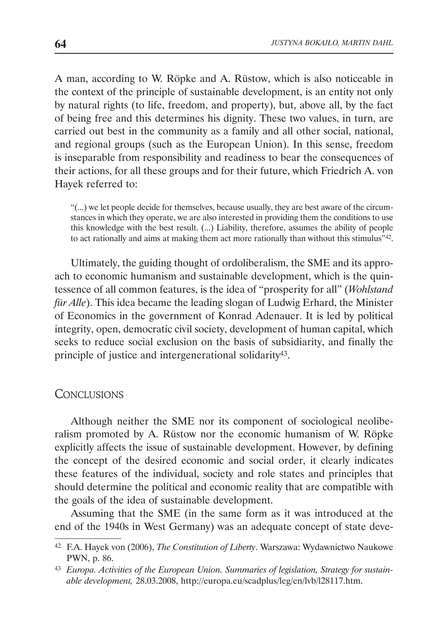A man, according to W. Röpke and A. Rüstow, which is also noticeable in the context of the principle of sustainable development, is an entity not only by natural rights (to life, freedom, and property), but, above all, by the fact of being free and this determines his dignity. These two values, in turn, are carried out best in the community as a family and all other social, national, and regional groups (such as the European Union). In this sense, freedom is inseparable from responsibility and readiness to bear the consequences of their actions, for all these groups and for their future, which Friedrich A. von Hayek referred to:

"(...) we let people decide for themselves, because usually, they are best aware of the circumstances in which they operate, we are also interested in providing them the conditions to use this knowledge with the best result. (...) Liability, therefore, assumes the ability of people to act rationally and aims at making them act more rationally than without this stimulus"<sup>42</sup>.

Ultimately, the guiding thought of ordoliberalism, the SME and its approach to economic humanism and sustainable development, which is the quintessence of all common features, is the idea of "prosperity for all" (*Wohlstand für Alle*). This idea became the leading slogan of Ludwig Erhard, the Minister of Economics in the government of Konrad Adenauer. It is led by political integrity, open, democratic civil society, development of human capital, which seeks to reduce social exclusion on the basis of subsidiarity, and finally the principle of justice and intergenerational solidarity43.

#### **CONCLUSIONS**

Although neither the SME nor its component of sociological neoliberalism promoted by A. Rüstow nor the economic humanism of W. Röpke explicitly affects the issue of sustainable development. However, by defining the concept of the desired economic and social order, it clearly indicates these features of the individual, society and role states and principles that should determine the political and economic reality that are compatible with the goals of the idea of sustainable development.

Assuming that the SME (in the same form as it was introduced at the end of the 1940s in West Germany) was an adequate concept of state deve-

<sup>42</sup> F.A. Hayek von (2006), *The Constitution of Liberty*. Warszawa: Wydawnictwo Naukowe PWN, p. 86.

<sup>43</sup> *Europa. Activities of the European Union. Summaries of legislation, Strategy for sustainable development,* 28.03.2008, http://europa.eu/scadplus/leg/en/lvb/l28117.htm.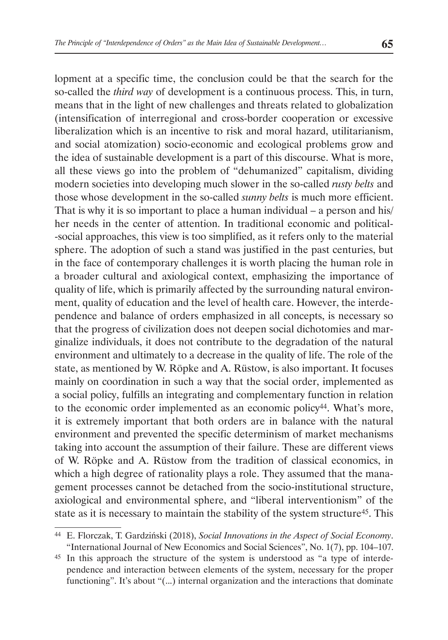lopment at a specific time, the conclusion could be that the search for the so-called the *third way* of development is a continuous process. This, in turn, means that in the light of new challenges and threats related to globalization (intensification of interregional and cross-border cooperation or excessive liberalization which is an incentive to risk and moral hazard, utilitarianism, and social atomization) socio-economic and ecological problems grow and the idea of sustainable development is a part of this discourse. What is more, all these views go into the problem of "dehumanized" capitalism, dividing modern societies into developing much slower in the so-called *rusty belts* and those whose development in the so-called *sunny belts* is much more efficient. That is why it is so important to place a human individual – a person and his/ her needs in the center of attention. In traditional economic and political- -social approaches, this view is too simplified, as it refers only to the material sphere. The adoption of such a stand was justified in the past centuries, but in the face of contemporary challenges it is worth placing the human role in a broader cultural and axiological context, emphasizing the importance of quality of life, which is primarily affected by the surrounding natural environment, quality of education and the level of health care. However, the interdependence and balance of orders emphasized in all concepts, is necessary so that the progress of civilization does not deepen social dichotomies and marginalize individuals, it does not contribute to the degradation of the natural environment and ultimately to a decrease in the quality of life. The role of the state, as mentioned by W. Röpke and A. Rüstow, is also important. It focuses mainly on coordination in such a way that the social order, implemented as a social policy, fulfills an integrating and complementary function in relation to the economic order implemented as an economic policy<sup>44</sup>. What's more, it is extremely important that both orders are in balance with the natural environment and prevented the specific determinism of market mechanisms taking into account the assumption of their failure. These are different views of W. Röpke and A. Rüstow from the tradition of classical economics, in which a high degree of rationality plays a role. They assumed that the management processes cannot be detached from the socio-institutional structure, axiological and environmental sphere, and "liberal interventionism" of the state as it is necessary to maintain the stability of the system structure45. This

<sup>44</sup> E. Florczak, T. Gardziński (2018), *Social Innovations in the Aspect of Social Economy*. "International Journal of New Economics and Social Sciences", No. 1(7), pp. 104–107.

<sup>45</sup> In this approach the structure of the system is understood as "a type of interdependence and interaction between elements of the system, necessary for the proper functioning". It's about "(...) internal organization and the interactions that dominate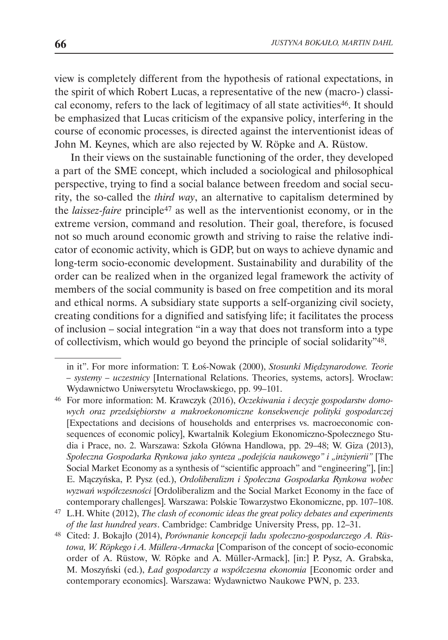view is completely different from the hypothesis of rational expectations, in the spirit of which Robert Lucas, a representative of the new (macro-) classical economy, refers to the lack of legitimacy of all state activities<sup>46</sup>. It should be emphasized that Lucas criticism of the expansive policy, interfering in the course of economic processes, is directed against the interventionist ideas of John M. Keynes, which are also rejected by W. Röpke and A. Rüstow.

In their views on the sustainable functioning of the order, they developed a part of the SME concept, which included a sociological and philosophical perspective, trying to find a social balance between freedom and social security, the so-called the *third way*, an alternative to capitalism determined by the *laissez-faire* principle47 as well as the interventionist economy, or in the extreme version, command and resolution. Their goal, therefore, is focused not so much around economic growth and striving to raise the relative indicator of economic activity, which is GDP, but on ways to achieve dynamic and long-term socio-economic development. Sustainability and durability of the order can be realized when in the organized legal framework the activity of members of the social community is based on free competition and its moral and ethical norms. A subsidiary state supports a self-organizing civil society, creating conditions for a dignified and satisfying life; it facilitates the process of inclusion – social integration "in a way that does not transform into a type of collectivism, which would go beyond the principle of social solidarity"48.

in it". For more information: T. Łoś-Nowak (2000), *Stosunki Międzynarodowe. Teorie – systemy – uczestnicy* [International Relations. Theories, systems, actors]. Wrocław: Wydawnictwo Uniwersytetu Wrocławskiego, pp. 99–101.

<sup>46</sup> For more information: M. Krawczyk (2016), *Oczekiwania i decyzje gospodarstw domowych oraz przedsiębiorstw a makroekonomiczne konsekwencje polityki gospodarczej*  [Expectations and decisions of households and enterprises vs. macroeconomic consequences of economic policy], Kwartalnik Kolegium Ekonomiczno-Społecznego Studia i Prace, no. 2. Warszawa: Szkoła Główna Handlowa, pp. 29–48; W. Giza (2013), *Społeczna Gospodarka Rynkowa jako synteza "podejścia naukowego" i "inżynierii"* [The Social Market Economy as a synthesis of "scientific approach" and "engineering"], [in:] E. Mączyńska, P. Pysz (ed.), *Ordoliberalizm i Społeczna Gospodarka Rynkowa wobec wyzwań współczesności* [Ordoliberalizm and the Social Market Economy in the face of contemporary challenges]. Warszawa: Polskie Towarzystwo Ekonomiczne, pp. 107–108.

<sup>47</sup> L.H. White (2012), *The clash of economic ideas the great policy debates and experiments of the last hundred years*. Cambridge: Cambridge University Press, pp. 12–31.

<sup>48</sup> Cited: J. Bokajło (2014), *Porównanie koncepcji ładu społeczno-gospodarczego A. Rüstowa, W. Röpkego i A. Müllera-Armacka* [Comparison of the concept of socio-economic order of A. Rüstow, W. Röpke and A. Müller-Armack], [in:] P. Pysz, A. Grabska, M. Moszyński (ed.), *Ład gospodarczy a współczesna ekonomia* [Economic order and contemporary economics]. Warszawa: Wydawnictwo Naukowe PWN, p. 233.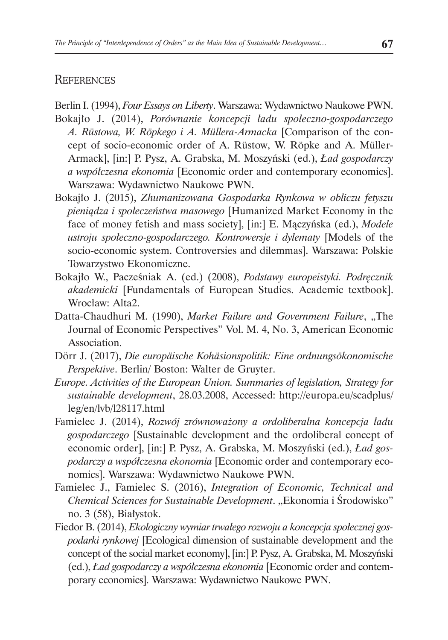### **REFERENCES**

Berlin I. (1994), *Four Essays on Liberty*. Warszawa: Wydawnictwo Naukowe PWN.

- Bokajło J. (2014), *Porównanie koncepcji ładu społeczno-gospodarczego A. Rüstowa, W. Röpkego i A. Müllera-Armacka* [Comparison of the concept of socio-economic order of A. Rüstow, W. Röpke and A. Müller-Armack], [in:] P. Pysz, A. Grabska, M. Moszyński (ed.), *Ład gospodarczy a współczesna ekonomia* [Economic order and contemporary economics]. Warszawa: Wydawnictwo Naukowe PWN.
- Bokajło J. (2015), *Zhumanizowana Gospodarka Rynkowa w obliczu fetyszu pieniądza i społeczeństwa masowego* [Humanized Market Economy in the face of money fetish and mass society], [in:] E. Mączyńska (ed.), *Modele ustroju społeczno-gospodarczego. Kontrowersje i dylematy* [Models of the socio-economic system. Controversies and dilemmas]. Warszawa: Polskie Towarzystwo Ekonomiczne.
- Bokajło W., Pacześniak A. (ed.) (2008), *Podstawy europeistyki. Podręcznik akademicki* [Fundamentals of European Studies. Academic textbook]. Wrocław: Alta2.
- Datta-Chaudhuri M. (1990), *Market Failure and Government Failure*, "The Journal of Economic Perspectives" Vol. M. 4, No. 3, American Economic Association.
- Dörr J. (2017), *Die europäische Kohäsionspolitik: Eine ordnungsökonomische Perspektive*. Berlin/ Boston: Walter de Gruyter.
- *Europe. Activities of the European Union. Summaries of legislation, Strategy for sustainable development*, 28.03.2008, Accessed: http://europa.eu/scadplus/ leg/en/lvb/l28117.html
- Famielec J. (2014), *Rozwój zrównoważony a ordoliberalna koncepcja ładu gospodarczego* [Sustainable development and the ordoliberal concept of economic order], [in:] P. Pysz, A. Grabska, M. Moszyński (ed.), *Ład gospodarczy a współczesna ekonomia* [Economic order and contemporary economics]. Warszawa: Wydawnictwo Naukowe PWN.
- Famielec J., Famielec S. (2016), *Integration of Economic, Technical and Chemical Sciences for Sustainable Development*. "Ekonomia i Środowisko" no. 3 (58), Białystok.
- Fiedor B. (2014), *Ekologiczny wymiar trwałego rozwoju a koncepcja społecznej gospodarki rynkowej* [Ecological dimension of sustainable development and the concept of the social market economy], [in:] P. Pysz, A. Grabska, M. Moszyński (ed.), *Ład gospodarczy a współczesna ekonomia* [Economic order and contemporary economics]. Warszawa: Wydawnictwo Naukowe PWN.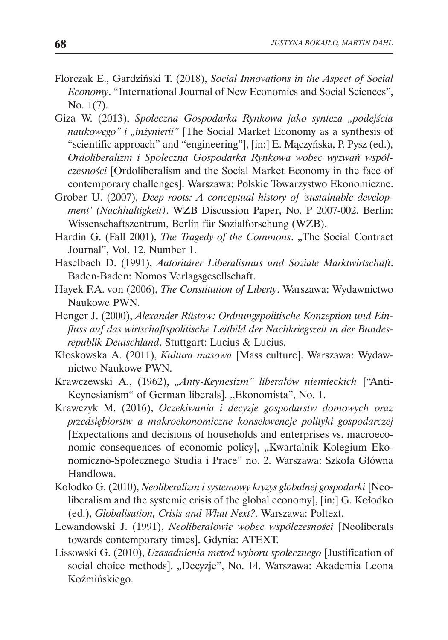- Florczak E., Gardziński T. (2018), *Social Innovations in the Aspect of Social Economy*. "International Journal of New Economics and Social Sciences", No. 1(7).
- Giza W. (2013), *Społeczna Gospodarka Rynkowa jako synteza "podejścia naukowego" i "inżynierii"* [The Social Market Economy as a synthesis of "scientific approach" and "engineering"], [in:] E. Mączyńska, P. Pysz (ed.), *Ordoliberalizm i Społeczna Gospodarka Rynkowa wobec wyzwań współczesności* [Ordoliberalism and the Social Market Economy in the face of contemporary challenges]. Warszawa: Polskie Towarzystwo Ekonomiczne.
- Grober U. (2007), *Deep roots: A conceptual history of 'sustainable development' (Nachhaltigkeit)*. WZB Discussion Paper, No. P 2007-002. Berlin: Wissenschaftszentrum, Berlin für Sozialforschung (WZB).
- Hardin G. (Fall 2001), *The Tragedy of the Commons*. "The Social Contract Journal", Vol. 12, Number 1.
- Haselbach D. (1991), *Autoritärer Liberalismus und Soziale Marktwirtschaft*. Baden-Baden: Nomos Verlagsgesellschaft.
- Hayek F.A. von (2006), *The Constitution of Liberty*. Warszawa: Wydawnictwo Naukowe PWN.
- Henger J. (2000), *Alexander Rüstow: Ordnungspolitische Konzeption und Einfluss auf das wirtschaftspolitische Leitbild der Nachkriegszeit in der Bundesrepublik Deutschland*. Stuttgart: Lucius & Lucius.
- Kłoskowska A. (2011), *Kultura masowa* [Mass culture]. Warszawa: Wydawnictwo Naukowe PWN.
- Krawczewski A., (1962), *"Anty-Keynesizm" liberałów niemieckich* ["Anti-Keynesianism" of German liberals]. "Ekonomista", No. 1.
- Krawczyk M. (2016), *Oczekiwania i decyzje gospodarstw domowych oraz przedsiębiorstw a makroekonomiczne konsekwencje polityki gospodarczej* [Expectations and decisions of households and enterprises vs. macroeconomic consequences of economic policy], "Kwartalnik Kolegium Ekonomiczno-Społecznego Studia i Prace" no. 2. Warszawa: Szkoła Główna Handlowa.
- Kołodko G. (2010), *Neoliberalizm i systemowy kryzys globalnej gospodarki* [Neoliberalism and the systemic crisis of the global economy], [in:] G. Kołodko (ed.), *Globalisation, Crisis and What Next?*. Warszawa: Poltext.
- Lewandowski J. (1991), *Neoliberałowie wobec współczesności* [Neoliberals towards contemporary times]. Gdynia: ATEXT.
- Lissowski G. (2010), *Uzasadnienia metod wyboru społecznego* [Justification of social choice methods]. "Decyzje", No. 14. Warszawa: Akademia Leona Koźmińskiego.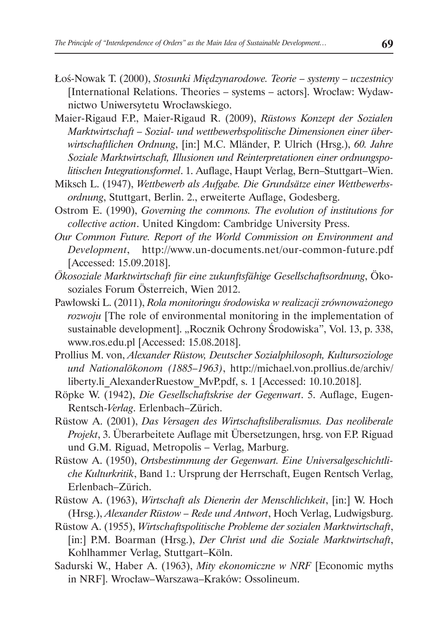- Łoś-Nowak T. (2000), *Stosunki Międzynarodowe. Teorie systemy uczestnicy* [International Relations. Theories – systems – actors]. Wrocław: Wydawnictwo Uniwersytetu Wrocławskiego.
- Maier-Rigaud F.P., Maier-Rigaud R. (2009), *Rüstows Konzept der Sozialen Marktwirtschaft – Sozial- und wettbewerbspolitische Dimensionen einer überwirtschaftlichen Ordnung*, [in:] M.C. Mländer, P. Ulrich (Hrsg.), *60. Jahre Soziale Marktwirtschaft, Illusionen und Reinterpretationen einer ordnungspolitischen Integrationsformel*. 1. Auflage, Haupt Verlag, Bern–Stuttgart–Wien.
- Miksch L. (1947), *Wettbewerb als Aufgabe. Die Grundsätze einer Wettbewerbsordnung*, Stuttgart, Berlin. 2., erweiterte Auflage, Godesberg.
- Ostrom E. (1990), *Governing the commons. The evolution of institutions for collective action*. United Kingdom: Cambridge University Press.
- *Our Common Future. Report of the World Commission on Environment and Development*, http://www.un-documents.net/our-common-future.pdf [Accessed: 15.09.2018].
- *Ökosoziale Marktwirtschaft für eine zukunftsfähige Gesellschaftsordnung*, Ökosoziales Forum Österreich, Wien 2012.
- Pawłowski L. (2011), *Rola monitoringu środowiska w realizacji zrównoważonego rozwoju* [The role of environmental monitoring in the implementation of sustainable development]. "Rocznik Ochrony Środowiska", Vol. 13, p. 338, www.ros.edu.pl [Accessed: 15.08.2018].
- Prollius M. von, *Alexander Rüstow, Deutscher Sozialphilosoph, Kultursoziologe und Nationalökonom (1885–1963)*, http://michael.von.prollius.de/archiv/ liberty.li\_AlexanderRuestow\_MvP.pdf, s. 1 [Accessed: 10.10.2018].
- Röpke W. (1942), *Die Gesellschaftskrise der Gegenwart*. 5. Auflage, Eugen-Rentsch-*Verlag*. Erlenbach–Zürich.
- Rüstow A. (2001), *Das Versagen des Wirtschaftsliberalismus. Das neoliberale Projekt*, 3. Überarbeitete Auflage mit Übersetzungen, hrsg. von F.P. Riguad und G.M. Riguad, Metropolis – Verlag, Marburg.
- Rüstow A. (1950), *Ortsbestimmung der Gegenwart. Eine Universalgeschichtliche Kulturkritik*, Band 1.: Ursprung der Herrschaft, Eugen Rentsch Verlag, Erlenbach–Zürich.
- Rüstow A. (1963), *Wirtschaft als Dienerin der Menschlichkeit*, [in:] W. Hoch (Hrsg.), *Alexander Rüstow – Rede und Antwort*, Hoch Verlag, Ludwigsburg.
- Rüstow A. (1955), *Wirtschaftspolitische Probleme der sozialen Marktwirtschaft*, [in:] P.M. Boarman (Hrsg.), *Der Christ und die Soziale Marktwirtschaft*, Kohlhammer Verlag, Stuttgart–Köln.
- Sadurski W., Haber A. (1963), *Mity ekonomiczne w NRF* [Economic myths in NRF]. Wrocław–Warszawa–Kraków: Ossolineum.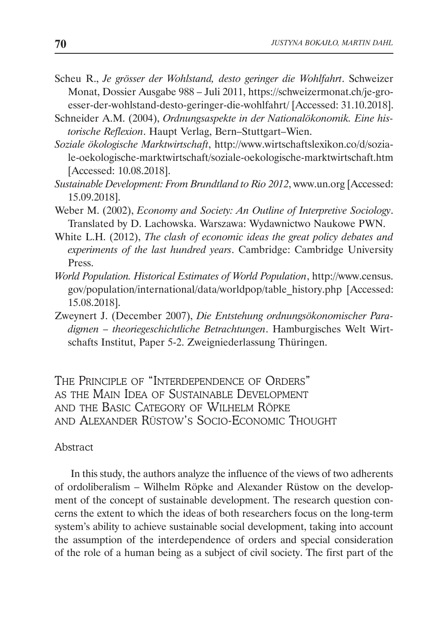- Scheu R., *Je grösser der Wohlstand, desto geringer die Wohlfahrt*. Schweizer Monat, Dossier Ausgabe 988 – Juli 2011, https://schweizermonat.ch/je-groesser-der-wohlstand-desto-geringer-die-wohlfahrt/ [Accessed: 31.10.2018].
- Schneider A.M. (2004), *Ordnungsaspekte in der Nationalökonomik. Eine historische Reflexion*. Haupt Verlag, Bern–Stuttgart–Wien.
- *Soziale ökologische Marktwirtschaft*, http://www.wirtschaftslexikon.co/d/soziale-oekologische-marktwirtschaft/soziale-oekologische-marktwirtschaft.htm [Accessed: 10.08.2018].
- *Sustainable Development: From Brundtland to Rio 2012*, www.un.org [Accessed: 15.09.2018].
- Weber M. (2002), *Economy and Society: An Outline of Interpretive Sociology*. Translated by D. Lachowska. Warszawa: Wydawnictwo Naukowe PWN.
- White L.H. (2012), *The clash of economic ideas the great policy debates and experiments of the last hundred years*. Cambridge: Cambridge University Press.
- *World Population. Historical Estimates of World Population*, http://www.census. gov/population/international/data/worldpop/table\_history.php [Accessed: 15.08.2018].
- Zweynert J. (December 2007), *Die Entstehung ordnungsökonomischer Paradigmen – theoriegeschichtliche Betrachtungen*. Hamburgisches Welt Wirtschafts Institut, Paper 5-2. Zweigniederlassung Thüringen.

The Principle of "Interdependence of Orders" as the Main Idea of Sustainable Development and the Basic Category of Wilhelm Röpke and Alexander Rüstow's Socio-Economic Thought

#### Abstract

In this study, the authors analyze the influence of the views of two adherents of ordoliberalism – Wilhelm Röpke and Alexander Rüstow on the development of the concept of sustainable development. The research question concerns the extent to which the ideas of both researchers focus on the long-term system's ability to achieve sustainable social development, taking into account the assumption of the interdependence of orders and special consideration of the role of a human being as a subject of civil society. The first part of the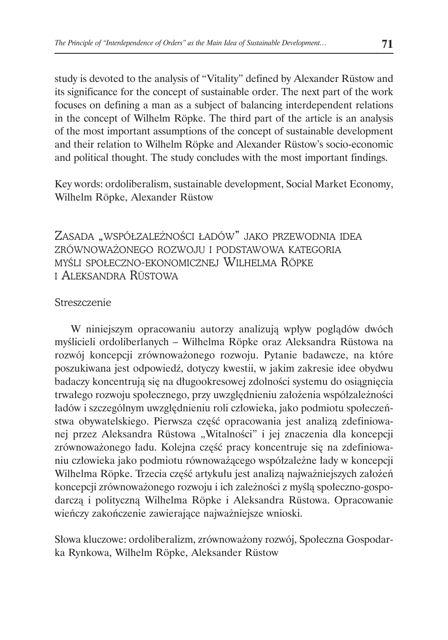study is devoted to the analysis of "Vitality" defined by Alexander Rüstow and its significance for the concept of sustainable order. The next part of the work focuses on defining a man as a subject of balancing interdependent relations in the concept of Wilhelm Röpke. The third part of the article is an analysis of the most important assumptions of the concept of sustainable development and their relation to Wilhelm Röpke and Alexander Rüstow's socio-economic and political thought. The study concludes with the most important findings.

Key words: ordoliberalism, sustainable development, Social Market Economy, Wilhelm Röpke, Alexander Rüstow

ZASADA "WSPÓŁZALEŻNOŚCI ŁADÓW" JAKO PRZEWODNIA IDEA zrównoważonego rozwoju i podstawowa kategoria myśli społeczno-ekonomicznej Wilhelma Röpke i Aleksandra Rüstowa

#### Streszczenie

W niniejszym opracowaniu autorzy analizują wpływ poglądów dwóch myślicieli ordoliberlanych – Wilhelma Röpke oraz Aleksandra Rüstowa na rozwój koncepcji zrównoważonego rozwoju. Pytanie badawcze, na które poszukiwana jest odpowiedź, dotyczy kwestii, w jakim zakresie idee obydwu badaczy koncentrują się na długookresowej zdolności systemu do osiągnięcia trwałego rozwoju społecznego, przy uwzględnieniu założenia współzależności ładów i szczególnym uwzględnieniu roli człowieka, jako podmiotu społeczeństwa obywatelskiego. Pierwsza część opracowania jest analizą zdefiniowanej przez Aleksandra Rüstowa "Witalności" i jej znaczenia dla koncepcji zrównoważonego ładu. Kolejna część pracy koncentruje się na zdefiniowaniu człowieka jako podmiotu równoważącego współzależne łady w koncepcji Wilhelma Röpke. Trzecia część artykułu jest analizą najważniejszych założeń koncepcji zrównoważonego rozwoju i ich zależności z myślą społeczno-gospodarczą i polityczną Wilhelma Röpke i Aleksandra Rüstowa. Opracowanie wieńczy zakończenie zawierające najważniejsze wnioski.

Słowa kluczowe: ordoliberalizm, zrównoważony rozwój, Społeczna Gospodarka Rynkowa, Wilhelm Röpke, Aleksander Rüstow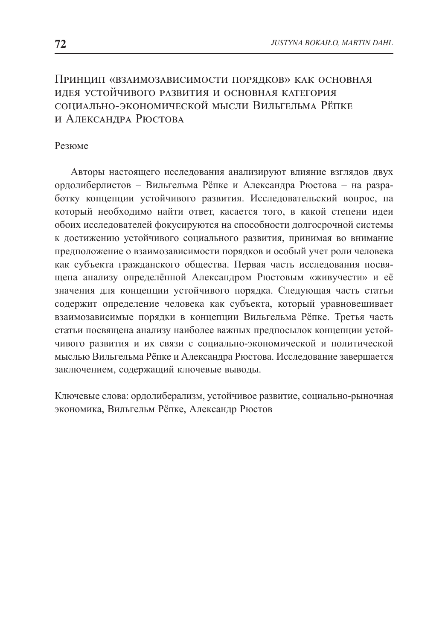### Принцип «взаимозависимости порядков» как основная идея устойчивого развития и основная категория социально-экономической мысли Вильгельма Рёпке и Александра Рюстова

### Резюме

Авторы настоящего исследования анализируют влияние взглядов двух ордолиберлистов – Вильгельма Рёпке и Александра Рюстова – на разработку концепции устойчивого развития. Исследовательский вопрос, на который необходимо найти ответ, касается того, в какой степени идеи обоих исследователей фокусируются на способности долгосрочной системы к достижению устойчивого социального развития, принимая во внимание предположение о взаимозависимости порядков и особый учет роли человека как субъекта гражданского общества. Первая часть исследования посвящена анализу определённой Александром Рюстовым «живучести» и её значения для концепции устойчивого порядка. Следующая часть статьи содержит определение человека как субъекта, который уравновешивает взаимозависимые порядки в концепции Вильгельма Рёпке. Третья часть статьи посвящена анализу наиболее важных предпосылок концепции устойчивого развития и их связи с социально-экономической и политической мыслью Вильгельма Рёпке и Александра Рюстова. Исследование завершается заключением, содержащий ключевые выводы.

Ключевые слова: ордолиберализм, устойчивое развитие, социально-рыночная экономика, Вильгельм Рёпке, Александр Рюстов